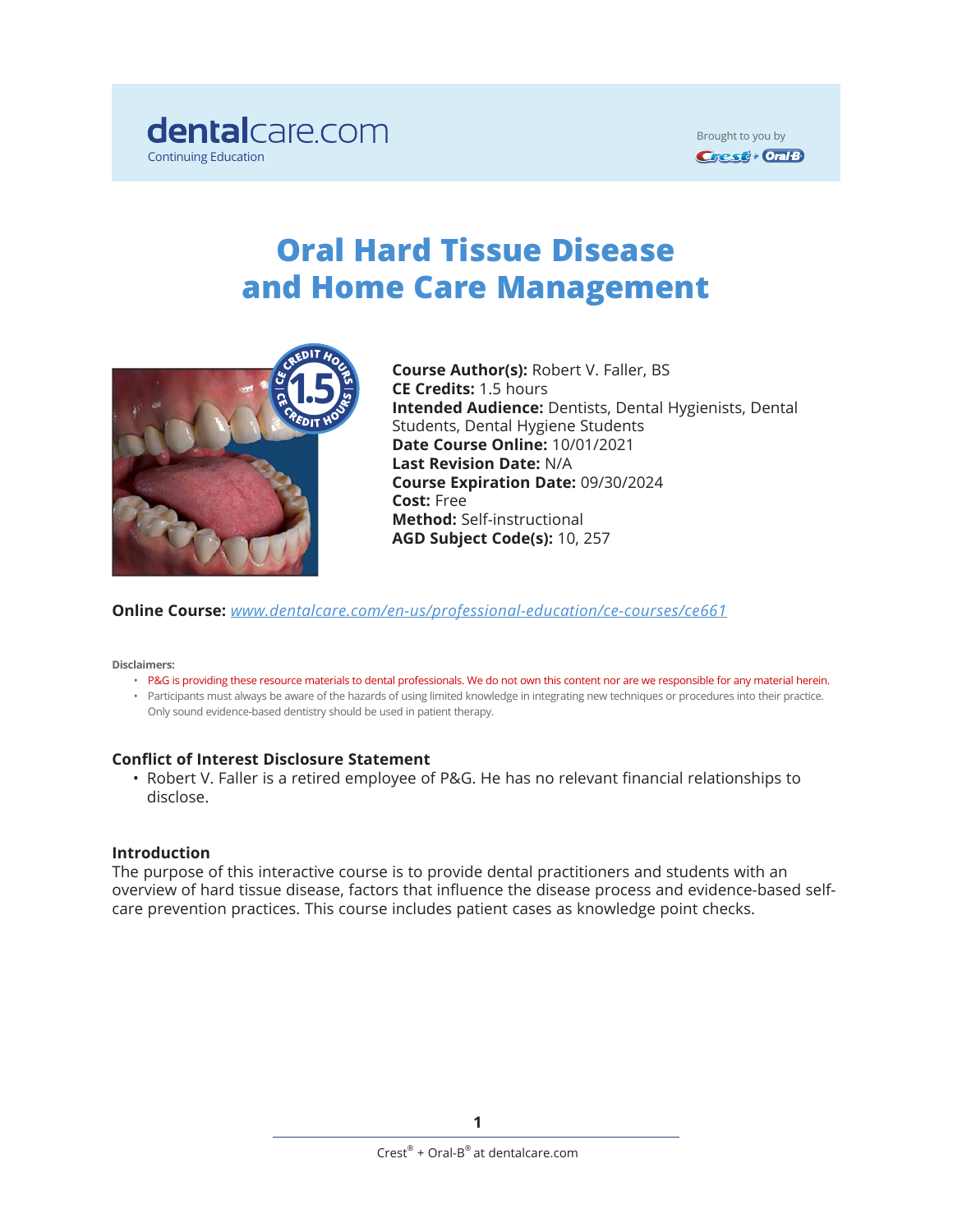

Brought to you by **Crest + Oral B** 

# **Oral Hard Tissue Disease and Home Care Management**



**Course Author(s):** Robert V. Faller, BS **CE Credits:** 1.5 hours **Intended Audience:** Dentists, Dental Hygienists, Dental Students, Dental Hygiene Students **Date Course Online:** 10/01/2021 **Last Revision Date:** N/A **Course Expiration Date:** 09/30/2024 **Cost:** Free **Method:** Self-instructional **AGD Subject Code(s):** 10, 257

**Online Course:** *[www.dentalcare.com/en-us/professional-education/ce-courses/ce](https://www.dentalcare.com/en-us/professional-education/ce-courses/ce661)661*

**Disclaimers:**

- P&G is providing these resource materials to dental professionals. We do not own this content nor are we responsible for any material herein.
- Participants must always be aware of the hazards of using limited knowledge in integrating new techniques or procedures into their practice. Only sound evidence-based dentistry should be used in patient therapy.

#### **Conflict of Interest Disclosure Statement**

• Robert V. Faller is a retired employee of P&G. He has no relevant financial relationships to disclose.

#### **Introduction**

The purpose of this interactive course is to provide dental practitioners and students with an overview of hard tissue disease, factors that influence the disease process and evidence-based selfcare prevention practices. This course includes patient cases as knowledge point checks.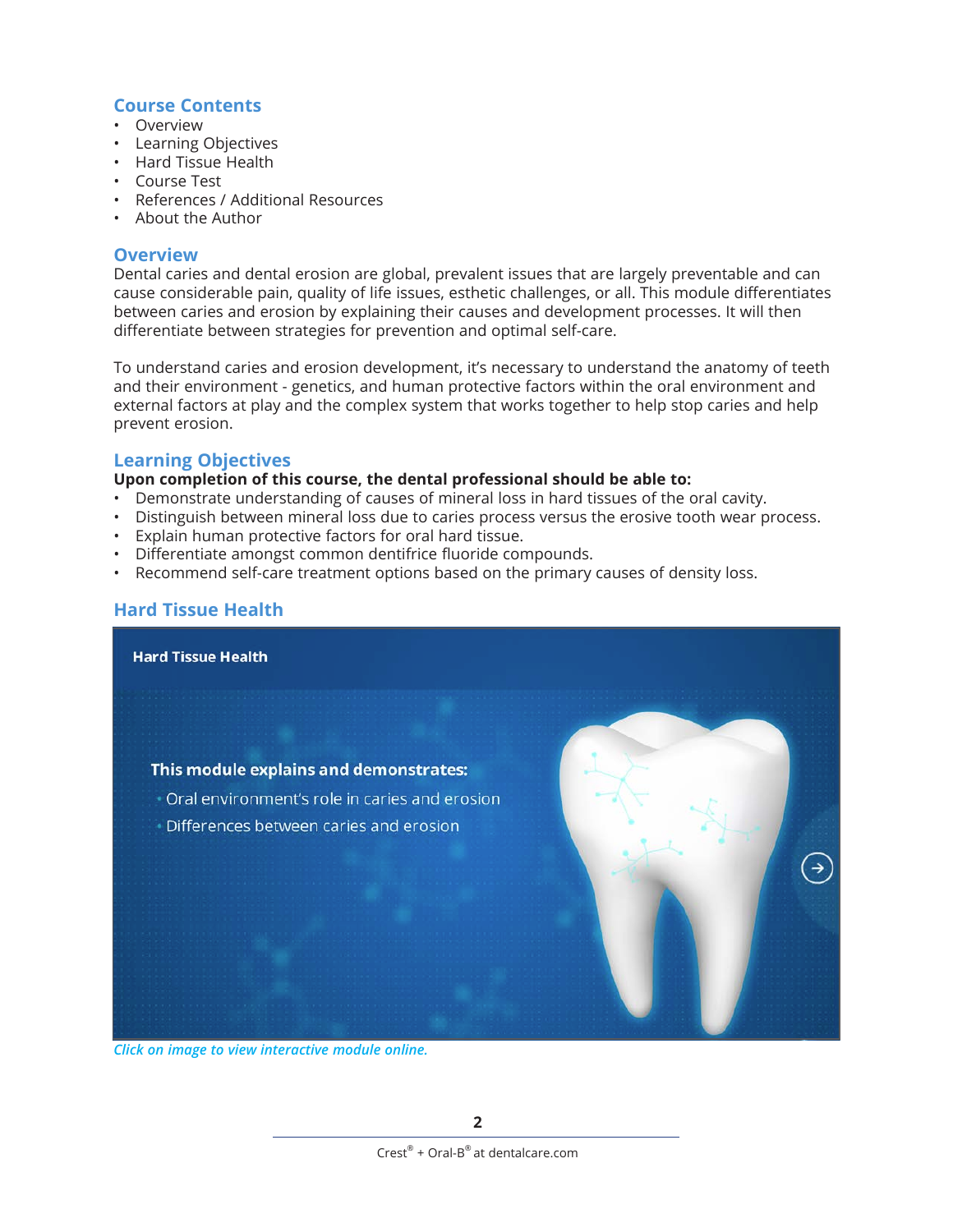#### **Course Contents**

- Overview
- Learning Objectives
- Hard Tissue Health
- Course Test
- References / Additional Resources
- About the Author

#### **Overview**

Dental caries and dental erosion are global, prevalent issues that are largely preventable and can cause considerable pain, quality of life issues, esthetic challenges, or all. This module differentiates between caries and erosion by explaining their causes and development processes. It will then differentiate between strategies for prevention and optimal self-care.

To understand caries and erosion development, it's necessary to understand the anatomy of teeth and their environment - genetics, and human protective factors within the oral environment and external factors at play and the complex system that works together to help stop caries and help prevent erosion.

### **Learning Objectives**

#### **Upon completion of this course, the dental professional should be able to:**

- Demonstrate understanding of causes of mineral loss in hard tissues of the oral cavity.
- Distinguish between mineral loss due to caries process versus the erosive tooth wear process.
- Explain human protective factors for oral hard tissue.
- Differentiate amongst common dentifrice fluoride compounds.
- Recommend self-care treatment options based on the primary causes of density loss.

# **Hard Tissue Health**



*Click on image to view interactive module online.*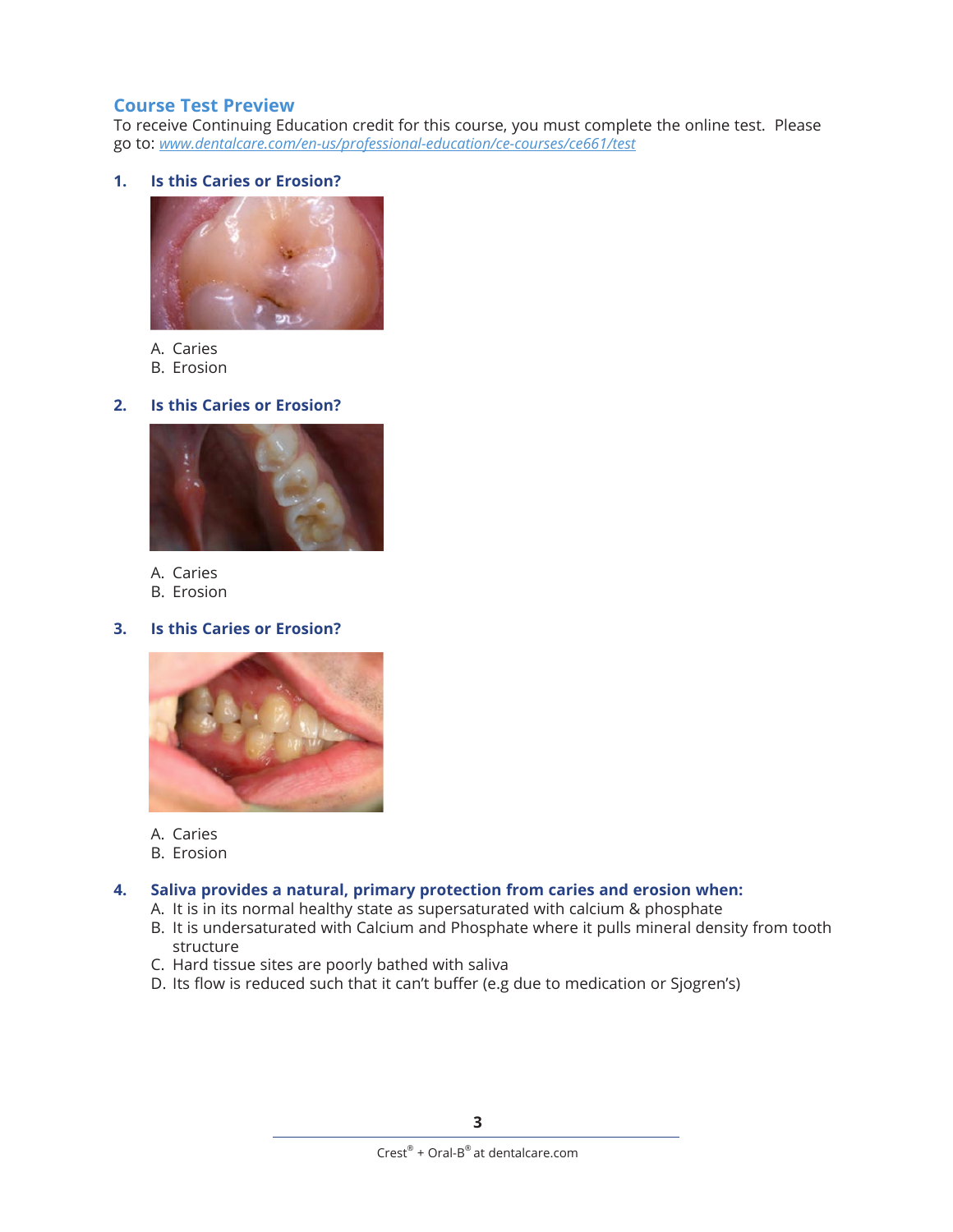## **Course Test Preview**

To receive Continuing Education credit for this course, you must complete the online test. Please go to: *[www.dentalcare.com/en-us/professional-education/ce-courses/ce661/test](http://www.dentalcare.com/en-us/professional-education/ce-courses/ce661/test)*

#### **1. Is this Caries or Erosion?**



#### A. Caries

B. Erosion

#### **2. Is this Caries or Erosion?**



- A. Caries
- B. Erosion

#### **3. Is this Caries or Erosion?**



- A. Caries
- B. Erosion

#### **4. Saliva provides a natural, primary protection from caries and erosion when:**

- A. It is in its normal healthy state as supersaturated with calcium & phosphate
- B. It is undersaturated with Calcium and Phosphate where it pulls mineral density from tooth structure
- C. Hard tissue sites are poorly bathed with saliva
- D. Its flow is reduced such that it can't buffer (e.g due to medication or Sjogren's)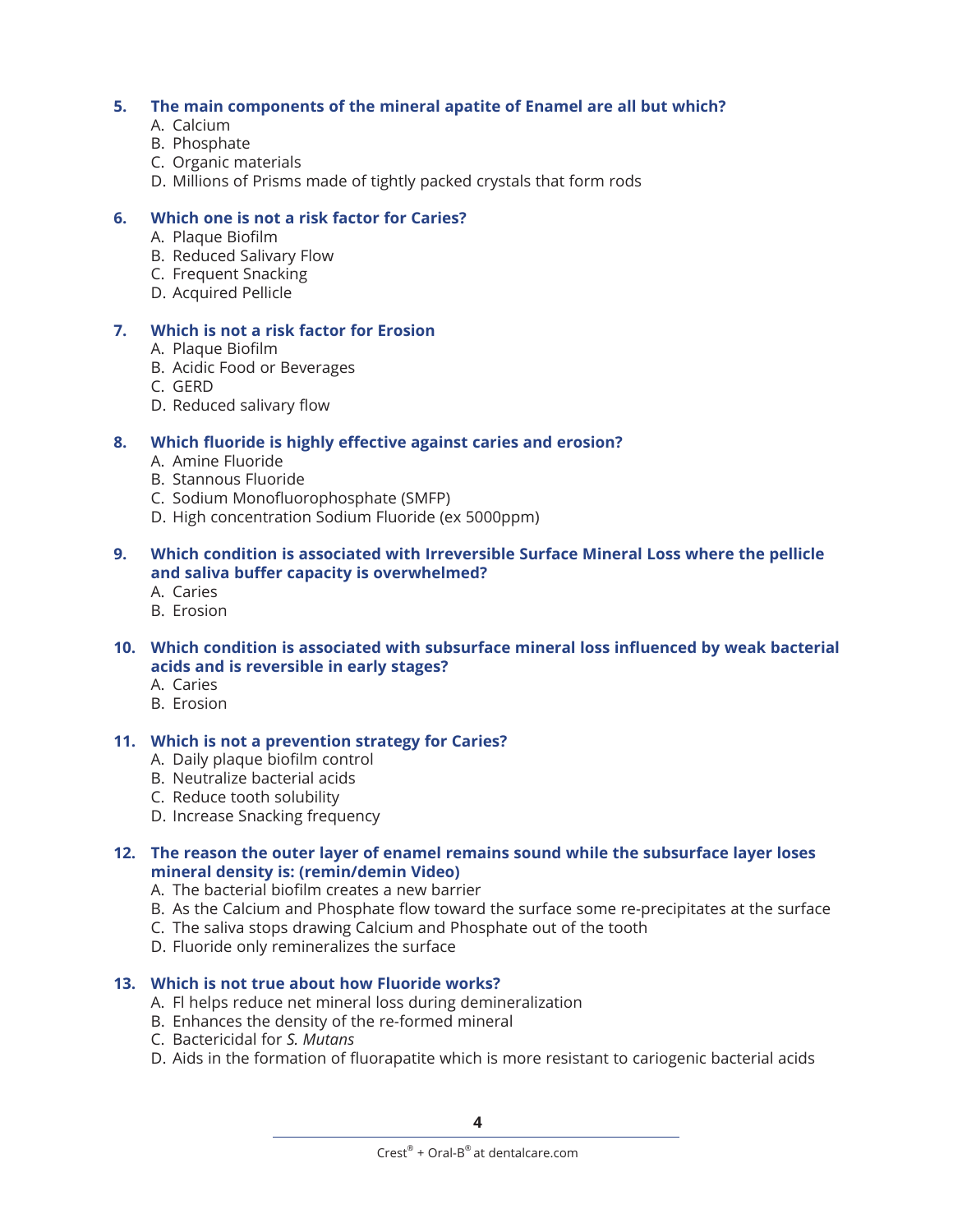#### **5. The main components of the mineral apatite of Enamel are all but which?**

- A. Calcium
- B. Phosphate
- C. Organic materials
- D. Millions of Prisms made of tightly packed crystals that form rods

#### **6. Which one is not a risk factor for Caries?**

- A. Plaque Biofilm
- B. Reduced Salivary Flow
- C. Frequent Snacking
- D. Acquired Pellicle

#### **7. Which is not a risk factor for Erosion**

- A. Plaque Biofilm
- B. Acidic Food or Beverages
- C. GERD
- D. Reduced salivary flow

#### **8. Which fluoride is highly effective against caries and erosion?**

- A. Amine Fluoride
- B. Stannous Fluoride
- C. Sodium Monofluorophosphate (SMFP)
- D. High concentration Sodium Fluoride (ex 5000ppm)

#### **9. Which condition is associated with Irreversible Surface Mineral Loss where the pellicle and saliva buffer capacity is overwhelmed?**

- A. Caries
- B. Erosion

#### **10. Which condition is associated with subsurface mineral loss influenced by weak bacterial acids and is reversible in early stages?**

- A. Caries
- B. Erosion

#### **11. Which is not a prevention strategy for Caries?**

- A. Daily plaque biofilm control
- B. Neutralize bacterial acids
- C. Reduce tooth solubility
- D. Increase Snacking frequency

#### **12. The reason the outer layer of enamel remains sound while the subsurface layer loses mineral density is: (remin/demin Video)**

- A. The bacterial biofilm creates a new barrier
- B. As the Calcium and Phosphate flow toward the surface some re-precipitates at the surface
- C. The saliva stops drawing Calcium and Phosphate out of the tooth
- D. Fluoride only remineralizes the surface

#### **13. Which is not true about how Fluoride works?**

- A. Fl helps reduce net mineral loss during demineralization
- B. Enhances the density of the re-formed mineral
- C. Bactericidal for *S. Mutans*
- D. Aids in the formation of fluorapatite which is more resistant to cariogenic bacterial acids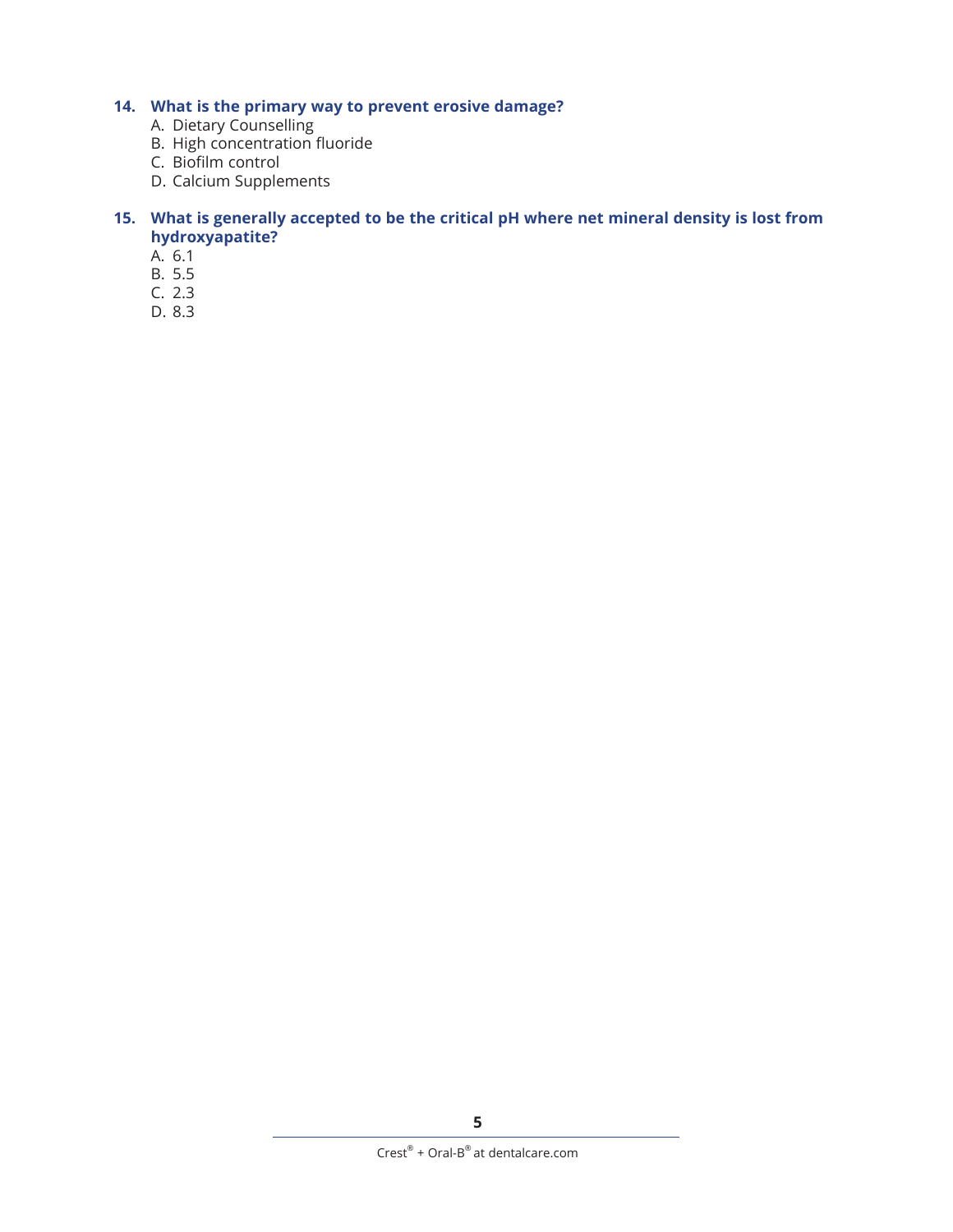# **14. What is the primary way to prevent erosive damage?**

- A. Dietary Counselling
- B. High concentration fluoride
- C. Biofilm control
- D. Calcium Supplements

#### **15. What is generally accepted to be the critical pH where net mineral density is lost from hydroxyapatite?**

- A. 6.1
- B. 5.5
- C. 2.3
- D. 8.3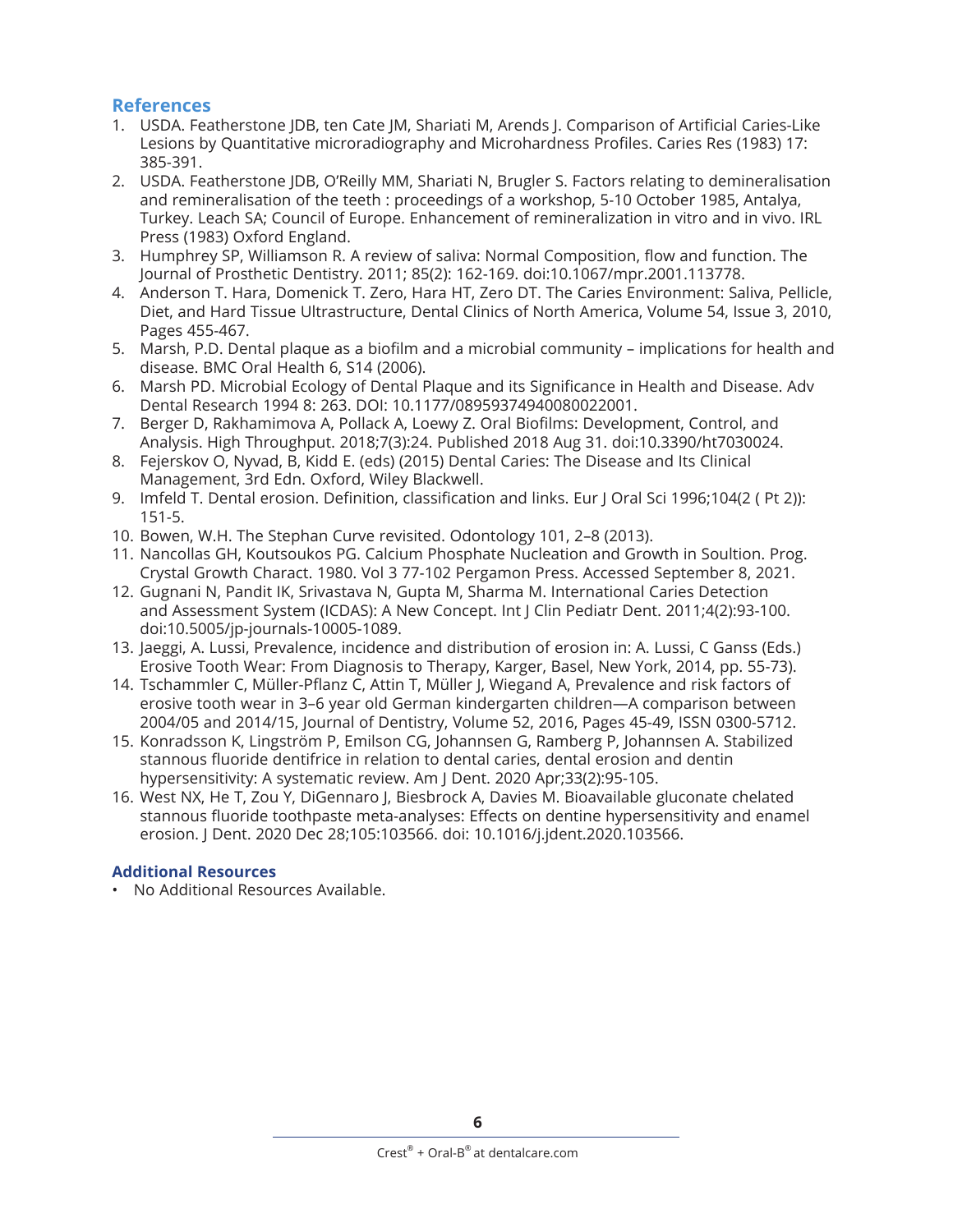# **References**

- 1. USDA. Featherstone JDB, ten Cate JM, Shariati M, Arends J. Comparison of Artificial Caries-Like Lesions by Quantitative microradiography and Microhardness Profiles. Caries Res (1983) 17: 385-391.
- 2. USDA. Featherstone JDB, O'Reilly MM, Shariati N, Brugler S. Factors relating to demineralisation and remineralisation of the teeth : proceedings of a workshop, 5-10 October 1985, Antalya, Turkey. Leach SA; Council of Europe. Enhancement of remineralization in vitro and in vivo. IRL Press (1983) Oxford England.
- 3. Humphrey SP, Williamson R. A review of saliva: Normal Composition, flow and function. The Journal of Prosthetic Dentistry. 2011; 85(2): 162-169. doi:10.1067/mpr.2001.113778.
- 4. Anderson T. Hara, Domenick T. Zero, Hara HT, Zero DT. The Caries Environment: Saliva, Pellicle, Diet, and Hard Tissue Ultrastructure, Dental Clinics of North America, Volume 54, Issue 3, 2010, Pages 455-467.
- 5. Marsh, P.D. Dental plaque as a biofilm and a microbial community implications for health and disease. BMC Oral Health 6, S14 (2006).
- 6. Marsh PD. Microbial Ecology of Dental Plaque and its Significance in Health and Disease. Adv Dental Research 1994 8: 263. DOI: 10.1177/08959374940080022001.
- 7. Berger D, Rakhamimova A, Pollack A, Loewy Z. Oral Biofilms: Development, Control, and Analysis. High Throughput. 2018;7(3):24. Published 2018 Aug 31. doi:10.3390/ht7030024.
- 8. Fejerskov O, Nyvad, B, Kidd E. (eds) (2015) Dental Caries: The Disease and Its Clinical Management, 3rd Edn. Oxford, Wiley Blackwell.
- 9. Imfeld T. Dental erosion. Definition, classification and links. Eur J Oral Sci 1996;104(2 ( Pt 2)): 151-5.
- 10. Bowen, W.H. The Stephan Curve revisited. Odontology 101, 2–8 (2013).
- 11. Nancollas GH, Koutsoukos PG. Calcium Phosphate Nucleation and Growth in Soultion. Prog. Crystal Growth Charact. 1980. Vol 3 77-102 Pergamon Press. Accessed September 8, 2021.
- 12. Gugnani N, Pandit IK, Srivastava N, Gupta M, Sharma M. International Caries Detection and Assessment System (ICDAS): A New Concept. Int J Clin Pediatr Dent. 2011;4(2):93-100. doi:10.5005/jp-journals-10005-1089.
- 13. Jaeggi, A. Lussi, Prevalence, incidence and distribution of erosion in: A. Lussi, C Ganss (Eds.) Erosive Tooth Wear: From Diagnosis to Therapy, Karger, Basel, New York, 2014, pp. 55-73).
- 14. Tschammler C, Müller-Pflanz C, Attin T, Müller J, Wiegand A, Prevalence and risk factors of erosive tooth wear in 3–6 year old German kindergarten children—A comparison between 2004/05 and 2014/15, Journal of Dentistry, Volume 52, 2016, Pages 45-49, ISSN 0300-5712.
- 15. Konradsson K, Lingström P, Emilson CG, Johannsen G, Ramberg P, Johannsen A. Stabilized stannous fluoride dentifrice in relation to dental caries, dental erosion and dentin hypersensitivity: A systematic review. Am J Dent. 2020 Apr;33(2):95-105.
- 16. West NX, He T, Zou Y, DiGennaro J, Biesbrock A, Davies M. Bioavailable gluconate chelated stannous fluoride toothpaste meta-analyses: Effects on dentine hypersensitivity and enamel erosion. J Dent. 2020 Dec 28;105:103566. doi: 10.1016/j.jdent.2020.103566.

## **Additional Resources**

• No Additional Resources Available.